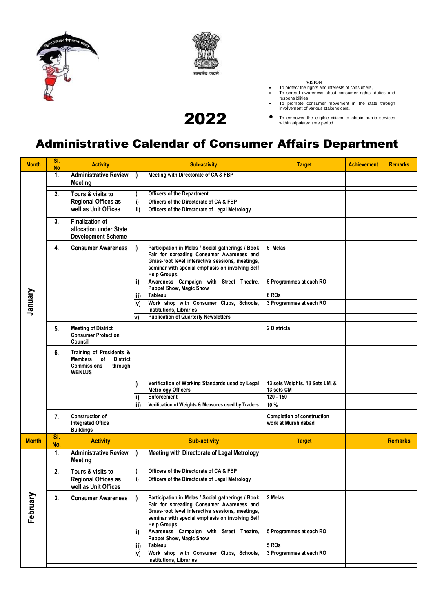



2022

- 
- VISION<br>• To protect the rights and interests of consumers,<br>• To spread awareness about consumer rights, duties and<br>responsibilities<br>• To promote consumer movement in the state through<br>involvement of various stakeholders,
- To empower the eligible citizen to obtain public services within stipulated time period.

## Administrative Calendar of Consumer Affairs Department

| <b>Month</b> | SI.<br><b>No</b> | <b>Activity</b>                                                                                                       |                         | <b>Sub-activity</b>                                                                                                                                                                                                   | <b>Target</b>                                            | <b>Achievement</b> | <b>Remarks</b> |
|--------------|------------------|-----------------------------------------------------------------------------------------------------------------------|-------------------------|-----------------------------------------------------------------------------------------------------------------------------------------------------------------------------------------------------------------------|----------------------------------------------------------|--------------------|----------------|
|              | 1.               | <b>Administrative Review</b><br><b>Meeting</b>                                                                        |                         | Meeting with Directorate of CA & FBP                                                                                                                                                                                  |                                                          |                    |                |
|              | $\overline{2}$ . | Tours & visits to                                                                                                     | i)                      | <b>Officers of the Department</b>                                                                                                                                                                                     |                                                          |                    |                |
|              |                  | <b>Regional Offices as</b>                                                                                            | ii)                     | Officers of the Directorate of CA & FBP                                                                                                                                                                               |                                                          |                    |                |
|              |                  | well as Unit Offices                                                                                                  | $\overline{\text{iii}}$ | Officers of the Directorate of Legal Metrology                                                                                                                                                                        |                                                          |                    |                |
|              |                  |                                                                                                                       |                         |                                                                                                                                                                                                                       |                                                          |                    |                |
|              | 3.               | <b>Finalization of</b><br>allocation under State<br><b>Development Scheme</b>                                         |                         |                                                                                                                                                                                                                       |                                                          |                    |                |
|              | 4.               | <b>Consumer Awareness</b>                                                                                             |                         | Participation in Melas / Social gatherings / Book<br>Fair for spreading Consumer Awareness and<br>Grass-root level interactive sessions, meetings,<br>seminar with special emphasis on involving Self<br>Help Groups. | 5 Melas                                                  |                    |                |
|              |                  |                                                                                                                       | ii)                     | Awareness Campaign with Street Theatre,<br><b>Puppet Show, Magic Show</b>                                                                                                                                             | 5 Programmes at each RO                                  |                    |                |
|              |                  |                                                                                                                       | iii)                    | <b>Tableau</b>                                                                                                                                                                                                        | 6 ROs                                                    |                    |                |
| January      |                  |                                                                                                                       | iv)                     | Work shop with Consumer Clubs, Schools,<br><b>Institutions, Libraries</b>                                                                                                                                             | 3 Programmes at each RO                                  |                    |                |
|              |                  |                                                                                                                       |                         | <b>Publication of Quarterly Newsletters</b>                                                                                                                                                                           |                                                          |                    |                |
|              | 5.               | <b>Meeting of District</b><br><b>Consumer Protection</b><br>Council                                                   |                         |                                                                                                                                                                                                                       | 2 Districts                                              |                    |                |
|              | 6.               | Training of Presidents &<br><b>Members</b><br>of<br><b>District</b><br><b>Commissions</b><br>through<br><b>WBNUJS</b> |                         |                                                                                                                                                                                                                       |                                                          |                    |                |
|              |                  |                                                                                                                       |                         | Verification of Working Standards used by Legal<br><b>Metrology Officers</b>                                                                                                                                          | 13 sets Weights, 13 Sets LM, &<br>13 sets CM             |                    |                |
|              |                  |                                                                                                                       |                         | Enforcement                                                                                                                                                                                                           | $120 - 150$                                              |                    |                |
|              |                  |                                                                                                                       | iii)                    | Verification of Weights & Measures used by Traders                                                                                                                                                                    | 10%                                                      |                    |                |
|              | 7.               | <b>Construction of</b>                                                                                                |                         |                                                                                                                                                                                                                       |                                                          |                    |                |
|              |                  | <b>Integrated Office</b><br><b>Buildings</b>                                                                          |                         |                                                                                                                                                                                                                       | <b>Completion of construction</b><br>work at Murshidabad |                    |                |
| <b>Month</b> | SI.<br>No.       | <b>Activity</b>                                                                                                       |                         | <b>Sub-activity</b>                                                                                                                                                                                                   | <b>Target</b>                                            |                    | <b>Remarks</b> |
|              | 1.               | <b>Administrative Review</b><br><b>Meeting</b>                                                                        |                         | Meeting with Directorate of Legal Metrology                                                                                                                                                                           |                                                          |                    |                |
|              | 2.               | Tours & visits to                                                                                                     |                         | Officers of the Directorate of CA & FBP                                                                                                                                                                               |                                                          |                    |                |
| February     |                  | <b>Regional Offices as</b><br>well as Unit Offices                                                                    | ii)                     | Officers of the Directorate of Legal Metrology                                                                                                                                                                        |                                                          |                    |                |
|              | 3.               | <b>Consumer Awareness</b>                                                                                             |                         | Participation in Melas / Social gatherings / Book<br>Fair for spreading Consumer Awareness and<br>Grass-root level interactive sessions, meetings,<br>seminar with special emphasis on involving Self<br>Help Groups. | 2 Melas                                                  |                    |                |
|              |                  |                                                                                                                       | lii)                    | Awareness Campaign with Street Theatre,<br><b>Puppet Show, Magic Show</b>                                                                                                                                             | 5 Programmes at each RO                                  |                    |                |
|              |                  |                                                                                                                       | iii)                    | <b>Tableau</b>                                                                                                                                                                                                        | 5 ROs                                                    |                    |                |
|              |                  |                                                                                                                       | (iv                     | Work shop with Consumer Clubs, Schools,<br><b>Institutions, Libraries</b>                                                                                                                                             | 3 Programmes at each RO                                  |                    |                |
|              |                  |                                                                                                                       |                         |                                                                                                                                                                                                                       |                                                          |                    |                |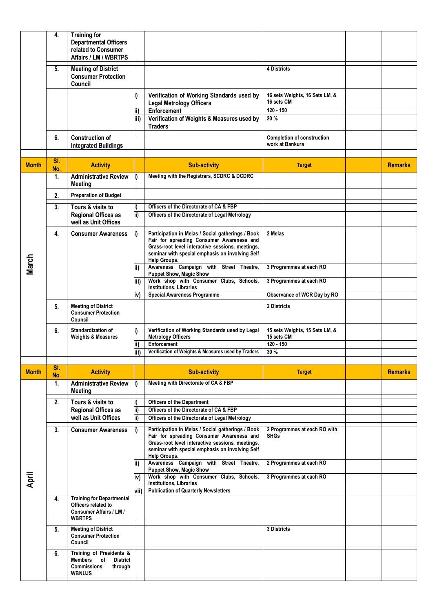|              | 4.         | <b>Training for</b><br><b>Departmental Officers</b><br>related to Consumer<br>Affairs / LM / WBRTPS                   |              |                                                                                                                                                                                                                       |                                                             |                |
|--------------|------------|-----------------------------------------------------------------------------------------------------------------------|--------------|-----------------------------------------------------------------------------------------------------------------------------------------------------------------------------------------------------------------------|-------------------------------------------------------------|----------------|
|              | 5.         | <b>Meeting of District</b><br><b>Consumer Protection</b><br>Council                                                   |              |                                                                                                                                                                                                                       | <b>4 Districts</b>                                          |                |
|              |            |                                                                                                                       |              | Verification of Working Standards used by<br><b>Legal Metrology Officers</b>                                                                                                                                          | 16 sets Weights, 16 Sets LM, &<br>16 sets CM                |                |
|              |            |                                                                                                                       | lii)         | Enforcement                                                                                                                                                                                                           | $120 - 150$                                                 |                |
|              |            |                                                                                                                       | iii)         | Verification of Weights & Measures used by<br><b>Traders</b>                                                                                                                                                          | 20 %                                                        |                |
|              | 6.         | <b>Construction of</b><br><b>Integrated Buildings</b>                                                                 |              |                                                                                                                                                                                                                       | <b>Completion of construction</b><br>work at Bankura        |                |
| <b>Month</b> | SI.<br>No. | <b>Activity</b>                                                                                                       |              | <b>Sub-activity</b>                                                                                                                                                                                                   | <b>Target</b>                                               | <b>Remarks</b> |
|              | 1.         | <b>Administrative Review</b><br><b>Meeting</b>                                                                        |              | Meeting with the Registrars, SCDRC & DCDRC                                                                                                                                                                            |                                                             |                |
|              | 2.         | <b>Preparation of Budget</b>                                                                                          |              |                                                                                                                                                                                                                       |                                                             |                |
|              | 3.         | Tours & visits to                                                                                                     |              | Officers of the Directorate of CA & FBP                                                                                                                                                                               |                                                             |                |
|              |            | <b>Regional Offices as</b><br>well as Unit Offices                                                                    | lii)         | Officers of the Directorate of Legal Metrology                                                                                                                                                                        |                                                             |                |
|              | 4.         | <b>Consumer Awareness</b>                                                                                             | li)          | Participation in Melas / Social gatherings / Book<br>Fair for spreading Consumer Awareness and<br>Grass-root level interactive sessions, meetings,<br>seminar with special emphasis on involving Self<br>Help Groups. | 2 Melas                                                     |                |
| March        |            |                                                                                                                       | ii)<br>liii) | Awareness Campaign with Street Theatre,<br><b>Puppet Show, Magic Show</b><br>Work shop with Consumer Clubs, Schools,                                                                                                  | 3 Programmes at each RO<br>3 Programmes at each RO          |                |
|              |            |                                                                                                                       |              | Institutions, Libraries                                                                                                                                                                                               |                                                             |                |
|              |            |                                                                                                                       | iv)          | <b>Special Awareness Programme</b>                                                                                                                                                                                    | Observance of WCR Day by RO                                 |                |
|              | 5.         | <b>Meeting of District</b><br><b>Consumer Protection</b><br>Council                                                   |              |                                                                                                                                                                                                                       | 2 Districts                                                 |                |
|              | 6.         | Standardization of<br><b>Weights &amp; Measures</b>                                                                   | i)<br>ii)    | Verification of Working Standards used by Legal<br><b>Metrology Officers</b><br>Enforcement                                                                                                                           | 15 sets Weights, 15 Sets LM, &<br>15 sets CM<br>$120 - 150$ |                |
|              |            |                                                                                                                       | iii)         | Verification of Weights & Measures used by Traders                                                                                                                                                                    | 30 %                                                        |                |
|              |            |                                                                                                                       |              |                                                                                                                                                                                                                       |                                                             |                |
| <b>Month</b> | SI.<br>No. | <b>Activity</b>                                                                                                       |              | <b>Sub-activity</b>                                                                                                                                                                                                   | <b>Target</b>                                               | <b>Remarks</b> |
|              | 1.         | <b>Administrative Review</b><br>Meeting                                                                               |              | Meeting with Directorate of CA & FBP                                                                                                                                                                                  |                                                             |                |
|              | 2.         | Tours & visits to                                                                                                     |              | <b>Officers of the Department</b><br>Officers of the Directorate of CA & FBP                                                                                                                                          |                                                             |                |
|              |            | <b>Regional Offices as</b><br>well as Unit Offices                                                                    | ii)<br>ii)   | Officers of the Directorate of Legal Metrology                                                                                                                                                                        |                                                             |                |
|              | 3.         | <b>Consumer Awareness</b>                                                                                             |              | Participation in Melas / Social gatherings / Book<br>Fair for spreading Consumer Awareness and<br>Grass-root level interactive sessions, meetings,<br>seminar with special emphasis on involving Self<br>Help Groups. | 2 Programmes at each RO with<br><b>SHGs</b>                 |                |
|              |            |                                                                                                                       |              | Awareness Campaign with Street Theatre,<br><b>Puppet Show, Magic Show</b>                                                                                                                                             | 2 Programmes at each RO                                     |                |
| April        |            |                                                                                                                       | iv)<br>vii)  | Work shop with Consumer Clubs, Schools,<br>Institutions, Libraries<br><b>Publication of Quarterly Newsletters</b>                                                                                                     | 3 Programmes at each RO                                     |                |
|              | 4.         | <b>Training for Departmental</b><br>Officers related to<br><b>Consumer Affairs / LM /</b><br><b>WBRTPS</b>            |              |                                                                                                                                                                                                                       |                                                             |                |
|              | 5.         | <b>Meeting of District</b><br><b>Consumer Protection</b><br>Council                                                   |              |                                                                                                                                                                                                                       | 3 Districts                                                 |                |
|              | 6.         | Training of Presidents &<br><b>Members</b><br>of<br><b>District</b><br><b>Commissions</b><br>through<br><b>WBNUJS</b> |              |                                                                                                                                                                                                                       |                                                             |                |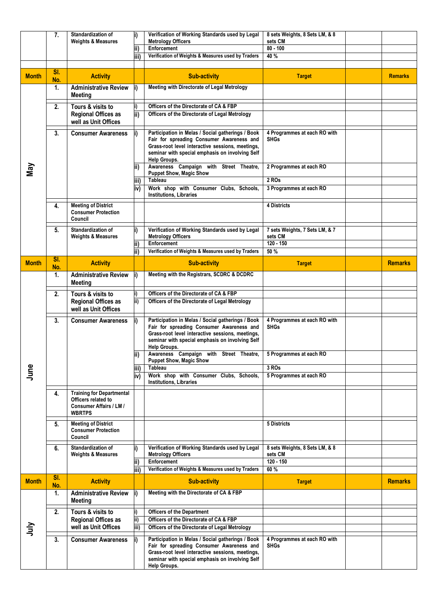|              | 7.         | <b>Standardization of</b>                                                                                  |             | Verification of Working Standards used by Legal                                                                                                                                                                       | 8 sets Weights, 8 Sets LM, & 8              |                |
|--------------|------------|------------------------------------------------------------------------------------------------------------|-------------|-----------------------------------------------------------------------------------------------------------------------------------------------------------------------------------------------------------------------|---------------------------------------------|----------------|
|              |            | <b>Weights &amp; Measures</b>                                                                              | ii)         | <b>Metrology Officers</b><br><b>Enforcement</b>                                                                                                                                                                       | sets CM<br>$80 - 100$                       |                |
|              |            |                                                                                                            | iii)        | Verification of Weights & Measures used by Traders                                                                                                                                                                    | 40 %                                        |                |
|              |            |                                                                                                            |             |                                                                                                                                                                                                                       |                                             |                |
| <b>Month</b> | SI.<br>No. | <b>Activity</b>                                                                                            |             | <b>Sub-activity</b>                                                                                                                                                                                                   | <b>Target</b>                               | <b>Remarks</b> |
|              | 1.         | <b>Administrative Review</b>                                                                               |             | Meeting with Directorate of Legal Metrology                                                                                                                                                                           |                                             |                |
|              | 2.         | <b>Meeting</b><br>Tours & visits to                                                                        |             | Officers of the Directorate of CA & FBP                                                                                                                                                                               |                                             |                |
|              |            | <b>Regional Offices as</b>                                                                                 | ii)         | Officers of the Directorate of Legal Metrology                                                                                                                                                                        |                                             |                |
|              |            | well as Unit Offices                                                                                       |             |                                                                                                                                                                                                                       |                                             |                |
|              | 3.         | <b>Consumer Awareness</b>                                                                                  |             | Participation in Melas / Social gatherings / Book<br>Fair for spreading Consumer Awareness and                                                                                                                        | 4 Programmes at each RO with<br><b>SHGs</b> |                |
|              |            |                                                                                                            |             | Grass-root level interactive sessions, meetings,<br>seminar with special emphasis on involving Self                                                                                                                   |                                             |                |
|              |            |                                                                                                            |             | Help Groups.                                                                                                                                                                                                          |                                             |                |
| Μaγ          |            |                                                                                                            | ii)         | Awareness Campaign with Street Theatre,<br><b>Puppet Show, Magic Show</b>                                                                                                                                             | 2 Programmes at each RO                     |                |
|              |            |                                                                                                            | iii)        | Tableau                                                                                                                                                                                                               | $2$ ROs                                     |                |
|              |            |                                                                                                            | iv)         | Work shop with Consumer Clubs, Schools,<br>Institutions, Libraries                                                                                                                                                    | 3 Programmes at each RO                     |                |
|              | 4.         | <b>Meeting of District</b>                                                                                 |             |                                                                                                                                                                                                                       | <b>4 Districts</b>                          |                |
|              |            | <b>Consumer Protection</b><br>Council                                                                      |             |                                                                                                                                                                                                                       |                                             |                |
|              | 5.         | Standardization of                                                                                         |             | Verification of Working Standards used by Legal                                                                                                                                                                       | 7 sets Weights, 7 Sets LM, & 7              |                |
|              |            | <b>Weights &amp; Measures</b>                                                                              | ii)         | <b>Metrology Officers</b><br>Enforcement                                                                                                                                                                              | sets CM<br>$120 - 150$                      |                |
|              |            |                                                                                                            | ii)         | Verification of Weights & Measures used by Traders                                                                                                                                                                    | 50%                                         |                |
| <b>Month</b> | SI.        | <b>Activity</b>                                                                                            |             | <b>Sub-activity</b>                                                                                                                                                                                                   | <b>Target</b>                               | <b>Remarks</b> |
|              | No.<br>1.  | <b>Administrative Review</b><br><b>Meeting</b>                                                             | i)          | Meeting with the Registrars, SCDRC & DCDRC                                                                                                                                                                            |                                             |                |
|              | 2.         | Tours & visits to                                                                                          |             | Officers of the Directorate of CA & FBP                                                                                                                                                                               |                                             |                |
|              |            | <b>Regional Offices as</b><br>well as Unit Offices                                                         | ii)         | Officers of the Directorate of Legal Metrology                                                                                                                                                                        |                                             |                |
|              | 3.         | <b>Consumer Awareness</b>                                                                                  | i)          | Participation in Melas / Social gatherings / Book<br>Fair for spreading Consumer Awareness and<br>Grass-root level interactive sessions, meetings,<br>seminar with special emphasis on involving Self                 | 4 Programmes at each RO with<br><b>SHGs</b> |                |
|              |            |                                                                                                            | ii)         | Help Groups.<br>Awareness Campaign with Street Theatre,<br><b>Puppet Show, Magic Show</b>                                                                                                                             | 5 Programmes at each RO                     |                |
| June         |            |                                                                                                            | iii)        | Tableau                                                                                                                                                                                                               | 3 ROs                                       |                |
|              |            |                                                                                                            | iv)         | Work shop with Consumer Clubs, Schools,<br>Institutions, Libraries                                                                                                                                                    | 5 Programmes at each RO                     |                |
|              | 4.         | <b>Training for Departmental</b><br>Officers related to<br><b>Consumer Affairs / LM /</b><br><b>WBRTPS</b> |             |                                                                                                                                                                                                                       |                                             |                |
|              | 5.         | <b>Meeting of District</b><br><b>Consumer Protection</b><br>Council                                        |             |                                                                                                                                                                                                                       | 5 Districts                                 |                |
|              | 6.         | Standardization of<br><b>Weights &amp; Measures</b>                                                        |             | Verification of Working Standards used by Legal<br><b>Metrology Officers</b>                                                                                                                                          | 8 sets Weights, 8 Sets LM, & 8<br>sets CM   |                |
|              |            |                                                                                                            | ii)<br>iii) | <b>Enforcement</b><br>Verification of Weights & Measures used by Traders                                                                                                                                              | $120 - 150$<br>60 %                         |                |
| <b>Month</b> | SI.        | <b>Activity</b>                                                                                            |             | <b>Sub-activity</b>                                                                                                                                                                                                   | <b>Target</b>                               | <b>Remarks</b> |
|              | No.<br>1.  | <b>Administrative Review</b>                                                                               | i)          | Meeting with the Directorate of CA & FBP                                                                                                                                                                              |                                             |                |
|              |            | <b>Meeting</b>                                                                                             |             |                                                                                                                                                                                                                       |                                             |                |
|              | 2.         | Tours & visits to                                                                                          |             | <b>Officers of the Department</b>                                                                                                                                                                                     |                                             |                |
|              |            | <b>Regional Offices as</b><br>well as Unit Offices                                                         | ii)<br>iii) | Officers of the Directorate of CA & FBP<br>Officers of the Directorate of Legal Metrology                                                                                                                             |                                             |                |
| ミラ           |            |                                                                                                            |             |                                                                                                                                                                                                                       |                                             |                |
|              | 3.         | <b>Consumer Awareness</b>                                                                                  | i).         | Participation in Melas / Social gatherings / Book<br>Fair for spreading Consumer Awareness and<br>Grass-root level interactive sessions, meetings,<br>seminar with special emphasis on involving Self<br>Help Groups. | 4 Programmes at each RO with<br><b>SHGs</b> |                |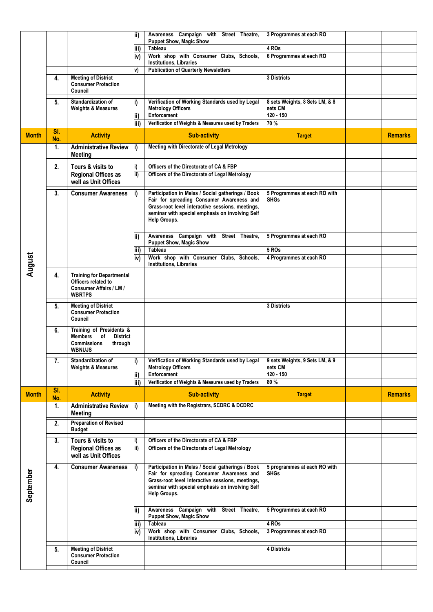|              |                  |                                                          | ii)         | Awareness Campaign with Street Theatre,                                                             | 3 Programmes at each RO                     |                |
|--------------|------------------|----------------------------------------------------------|-------------|-----------------------------------------------------------------------------------------------------|---------------------------------------------|----------------|
|              |                  |                                                          | iii)        | <b>Puppet Show, Magic Show</b><br>Tableau                                                           | 4 ROs                                       |                |
|              |                  |                                                          | iv)         | Work shop with Consumer Clubs, Schools,                                                             | 6 Programmes at each RO                     |                |
|              |                  |                                                          |             | <b>Institutions, Libraries</b>                                                                      |                                             |                |
|              |                  |                                                          | v)          | <b>Publication of Quarterly Newsletters</b>                                                         |                                             |                |
|              | 4.               | <b>Meeting of District</b><br><b>Consumer Protection</b> |             |                                                                                                     | 3 Districts                                 |                |
|              |                  | Council                                                  |             |                                                                                                     |                                             |                |
|              | 5.               | Standardization of                                       | i)          | Verification of Working Standards used by Legal                                                     | 8 sets Weights, 8 Sets LM, & 8              |                |
|              |                  | <b>Weights &amp; Measures</b>                            |             | <b>Metrology Officers</b>                                                                           | sets CM                                     |                |
|              |                  |                                                          | ii)<br>iii) | Enforcement<br>Verification of Weights & Measures used by Traders                                   | $120 - 150$<br>70 %                         |                |
|              | SI.              |                                                          |             |                                                                                                     |                                             |                |
| <b>Month</b> | No.              | <b>Activity</b>                                          |             | <b>Sub-activity</b>                                                                                 | <b>Target</b>                               | <b>Remarks</b> |
|              | 1.               | <b>Administrative Review</b><br><b>Meeting</b>           | i)          | Meeting with Directorate of Legal Metrology                                                         |                                             |                |
|              | 2.               | Tours & visits to                                        | i)          | Officers of the Directorate of CA & FBP                                                             |                                             |                |
|              |                  | <b>Regional Offices as</b>                               | ii)         | Officers of the Directorate of Legal Metrology                                                      |                                             |                |
|              |                  | well as Unit Offices                                     |             |                                                                                                     |                                             |                |
|              | 3.               | <b>Consumer Awareness</b>                                |             | Participation in Melas / Social gatherings / Book                                                   | 5 Programmes at each RO with                |                |
|              |                  |                                                          |             | Fair for spreading Consumer Awareness and                                                           | <b>SHGs</b>                                 |                |
|              |                  |                                                          |             | Grass-root level interactive sessions, meetings,<br>seminar with special emphasis on involving Self |                                             |                |
|              |                  |                                                          |             | Help Groups.                                                                                        |                                             |                |
|              |                  |                                                          |             |                                                                                                     |                                             |                |
|              |                  |                                                          | ii)         | Awareness Campaign with Street Theatre,<br><b>Puppet Show, Magic Show</b>                           | 5 Programmes at each RO                     |                |
|              |                  |                                                          | iii)        | <b>Tableau</b>                                                                                      | 5 ROS                                       |                |
| August       |                  |                                                          | iv)         | Work shop with Consumer Clubs, Schools,                                                             | 4 Programmes at each RO                     |                |
|              |                  |                                                          |             | <b>Institutions, Libraries</b>                                                                      |                                             |                |
|              | 4.               | <b>Training for Departmental</b><br>Officers related to  |             |                                                                                                     |                                             |                |
|              |                  | <b>Consumer Affairs / LM /</b>                           |             |                                                                                                     |                                             |                |
|              |                  | <b>WBRTPS</b>                                            |             |                                                                                                     |                                             |                |
|              | 5.               | <b>Meeting of District</b>                               |             |                                                                                                     | 3 Districts                                 |                |
|              |                  | <b>Consumer Protection</b><br>Council                    |             |                                                                                                     |                                             |                |
|              | 6.               | Training of Presidents &                                 |             |                                                                                                     |                                             |                |
|              |                  | <b>Members</b><br><b>District</b><br>of                  |             |                                                                                                     |                                             |                |
|              |                  |                                                          |             |                                                                                                     |                                             |                |
|              |                  | <b>Commissions</b><br>through                            |             |                                                                                                     |                                             |                |
|              |                  | <b>WBNUJS</b>                                            |             |                                                                                                     |                                             |                |
|              | 7.               | Standardization of<br><b>Weights &amp; Measures</b>      | i)          | Verification of Working Standards used by Legal<br><b>Metrology Officers</b>                        | 9 sets Weights, 9 Sets LM, & 9<br>sets CM   |                |
|              |                  |                                                          | ii)         | <b>Enforcement</b>                                                                                  | $120 - 150$                                 |                |
|              |                  |                                                          | iii)        | Verification of Weights & Measures used by Traders                                                  | 80 %                                        |                |
| <b>Month</b> | SI.              | <b>Activity</b>                                          |             | <b>Sub-activity</b>                                                                                 | <b>Target</b>                               | <b>Remarks</b> |
|              | No.<br>1.        | <b>Administrative Review</b>                             |             | Meeting with the Registrars, SCDRC & DCDRC                                                          |                                             |                |
|              |                  | <b>Meeting</b>                                           |             |                                                                                                     |                                             |                |
|              | 2.               | <b>Preparation of Revised</b>                            |             |                                                                                                     |                                             |                |
|              |                  | <b>Budget</b>                                            |             |                                                                                                     |                                             |                |
|              | $\overline{3}$ . | Tours & visits to                                        | i)          | Officers of the Directorate of CA & FBP                                                             |                                             |                |
|              |                  | <b>Regional Offices as</b><br>well as Unit Offices       | ii)         | Officers of the Directorate of Legal Metrology                                                      |                                             |                |
|              |                  |                                                          |             |                                                                                                     |                                             |                |
|              | 4.               | <b>Consumer Awareness</b>                                |             | Participation in Melas / Social gatherings / Book<br>Fair for spreading Consumer Awareness and      | 5 programmes at each RO with<br><b>SHGs</b> |                |
|              |                  |                                                          |             | Grass-root level interactive sessions, meetings,                                                    |                                             |                |
|              |                  |                                                          |             | seminar with special emphasis on involving Self<br>Help Groups.                                     |                                             |                |
| September    |                  |                                                          |             |                                                                                                     |                                             |                |
|              |                  |                                                          | ii)         | Awareness Campaign with Street Theatre,                                                             | 5 Programmes at each RO                     |                |
|              |                  |                                                          |             | <b>Puppet Show, Magic Show</b><br><b>Tableau</b>                                                    | 4 ROs                                       |                |
|              |                  |                                                          | iii)<br>iv) | Work shop with Consumer Clubs, Schools,                                                             | 3 Programmes at each RO                     |                |
|              |                  |                                                          |             | <b>Institutions, Libraries</b>                                                                      |                                             |                |
|              | 5.               | <b>Meeting of District</b>                               |             |                                                                                                     | 4 Districts                                 |                |
|              |                  | <b>Consumer Protection</b><br>Council                    |             |                                                                                                     |                                             |                |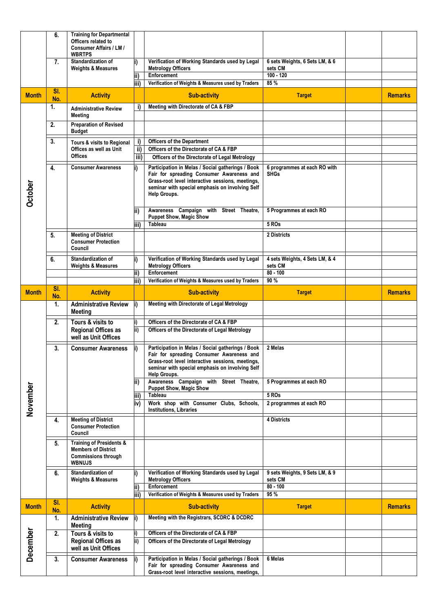|                 | 6.         | <b>Training for Departmental</b><br>Officers related to<br><b>Consumer Affairs / LM /</b><br><b>WBRTPS</b>       |                  |                                                                                                                                                                                                                       |                                                          |                |
|-----------------|------------|------------------------------------------------------------------------------------------------------------------|------------------|-----------------------------------------------------------------------------------------------------------------------------------------------------------------------------------------------------------------------|----------------------------------------------------------|----------------|
|                 | 7.         | Standardization of<br><b>Weights &amp; Measures</b>                                                              |                  | Verification of Working Standards used by Legal<br><b>Metrology Officers</b><br>Enforcement                                                                                                                           | 6 sets Weights, 6 Sets LM, & 6<br>sets CM<br>$100 - 120$ |                |
|                 |            |                                                                                                                  | ii)<br>iii)      | Verification of Weights & Measures used by Traders                                                                                                                                                                    | 85 %                                                     |                |
| <b>Month</b>    | SI.<br>No. | <b>Activity</b>                                                                                                  |                  | <b>Sub-activity</b>                                                                                                                                                                                                   | <b>Target</b>                                            | <b>Remarks</b> |
|                 | 1.         | <b>Administrative Review</b><br>Meeting                                                                          | i)               | Meeting with Directorate of CA & FBP                                                                                                                                                                                  |                                                          |                |
|                 | 2.         | <b>Preparation of Revised</b><br><b>Budget</b>                                                                   |                  |                                                                                                                                                                                                                       |                                                          |                |
|                 | 3.         | Tours & visits to Regional                                                                                       | i)               | <b>Officers of the Department</b>                                                                                                                                                                                     |                                                          |                |
|                 |            | Offices as well as Unit                                                                                          | ii)              | Officers of the Directorate of CA & FBP                                                                                                                                                                               |                                                          |                |
|                 |            | <b>Offices</b>                                                                                                   | $\overline{iii}$ | Officers of the Directorate of Legal Metrology                                                                                                                                                                        |                                                          |                |
| <b>October</b>  | 4.         | <b>Consumer Awareness</b>                                                                                        | i)               | Participation in Melas / Social gatherings / Book<br>Fair for spreading Consumer Awareness and<br>Grass-root level interactive sessions, meetings,<br>seminar with special emphasis on involving Self<br>Help Groups. | 6 programmes at each RO with<br><b>SHGs</b>              |                |
|                 |            |                                                                                                                  | lii)             | Awareness Campaign with Street Theatre,<br><b>Puppet Show, Magic Show</b>                                                                                                                                             | 5 Programmes at each RO<br>5 ROs                         |                |
|                 |            |                                                                                                                  | iii)             | Tableau                                                                                                                                                                                                               |                                                          |                |
|                 | 5.         | <b>Meeting of District</b><br><b>Consumer Protection</b><br>Council                                              |                  |                                                                                                                                                                                                                       | 2 Districts                                              |                |
|                 | 6.         | Standardization of<br><b>Weights &amp; Measures</b>                                                              | i)               | Verification of Working Standards used by Legal<br><b>Metrology Officers</b>                                                                                                                                          | 4 sets Weights, 4 Sets LM, & 4<br>sets CM                |                |
|                 |            |                                                                                                                  | ii)<br>iii)      | Enforcement<br>Verification of Weights & Measures used by Traders                                                                                                                                                     | $80 - 100$<br>90 %                                       |                |
|                 | SI.        |                                                                                                                  |                  |                                                                                                                                                                                                                       |                                                          |                |
| <b>Month</b>    | No.        | <b>Activity</b>                                                                                                  |                  | <b>Sub-activity</b>                                                                                                                                                                                                   | <b>Target</b>                                            | <b>Remarks</b> |
|                 |            |                                                                                                                  |                  |                                                                                                                                                                                                                       |                                                          |                |
|                 | 1.         | <b>Administrative Review</b><br><b>Meeting</b>                                                                   | li)              | Meeting with Directorate of Legal Metrology                                                                                                                                                                           |                                                          |                |
|                 | 2.         | Tours & visits to<br><b>Regional Offices as</b><br>well as Unit Offices                                          | i)<br>ii)        | Officers of the Directorate of CA & FBP<br>Officers of the Directorate of Legal Metrology                                                                                                                             |                                                          |                |
|                 | 3.         | <b>Consumer Awareness</b>                                                                                        |                  | Participation in Melas / Social gatherings / Book<br>Fair for spreading Consumer Awareness and<br>Grass-root level interactive sessions, meetings,<br>seminar with special emphasis on involving Self<br>Help Groups. | 2 Melas                                                  |                |
|                 |            |                                                                                                                  | ii)              | Awareness Campaign with Street Theatre,<br><b>Puppet Show, Magic Show</b>                                                                                                                                             | 5 Programmes at each RO                                  |                |
|                 |            |                                                                                                                  | iii)             | Tableau                                                                                                                                                                                                               | 5 ROS                                                    |                |
|                 |            |                                                                                                                  | iv)              | Work shop with Consumer Clubs, Schools,<br><b>Institutions, Libraries</b>                                                                                                                                             | 2 programmes at each RO                                  |                |
| November        | 4.         | <b>Meeting of District</b><br><b>Consumer Protection</b><br>Council                                              |                  |                                                                                                                                                                                                                       | 4 Districts                                              |                |
|                 | 5.         | <b>Training of Presidents &amp;</b><br><b>Members of District</b><br><b>Commissions through</b><br><b>WBNUJS</b> |                  |                                                                                                                                                                                                                       |                                                          |                |
|                 | 6.         | Standardization of<br><b>Weights &amp; Measures</b>                                                              | i)               | Verification of Working Standards used by Legal<br><b>Metrology Officers</b>                                                                                                                                          | 9 sets Weights, 9 Sets LM, & 9<br>sets CM                |                |
|                 |            |                                                                                                                  | ii)              | <b>Enforcement</b>                                                                                                                                                                                                    | $80 - 100$                                               |                |
| <b>Month</b>    | SI.        | <b>Activity</b>                                                                                                  | iii)             | Verification of Weights & Measures used by Traders<br><b>Sub-activity</b>                                                                                                                                             | 95 %<br><b>Target</b>                                    | <b>Remarks</b> |
|                 | No.<br>1.  | <b>Administrative Review</b><br>Meeting                                                                          | i)               | Meeting with the Registrars, SCDRC & DCDRC                                                                                                                                                                            |                                                          |                |
|                 | 2.         | Tours & visits to                                                                                                | i)               | Officers of the Directorate of CA & FBP                                                                                                                                                                               |                                                          |                |
|                 |            | <b>Regional Offices as</b><br>well as Unit Offices                                                               | ii)              | Officers of the Directorate of Legal Metrology                                                                                                                                                                        |                                                          |                |
| <b>December</b> | 3.         | <b>Consumer Awareness</b>                                                                                        | i)               | Participation in Melas / Social gatherings / Book<br>Fair for spreading Consumer Awareness and                                                                                                                        | 6 Melas                                                  |                |